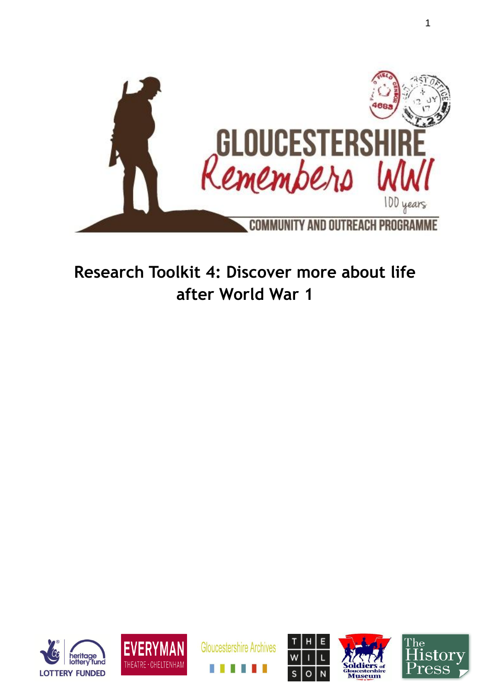

# **Research Toolkit 4: Discover more about life after World War 1**











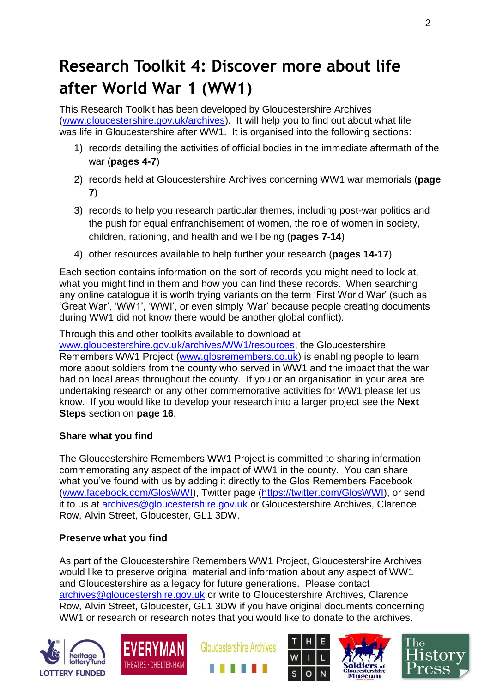# **Research Toolkit 4: Discover more about life after World War 1 (WW1)**

This Research Toolkit has been developed by Gloucestershire Archives [\(www.gloucestershire.gov.uk/archives\)](http://www.gloucestershire.gov.uk/archives). It will help you to find out about what life was life in Gloucestershire after WW1. It is organised into the following sections:

- 1) records detailing the activities of official bodies in the immediate aftermath of the war (**pages 4-7**)
- 2) records held at Gloucestershire Archives concerning WW1 war memorials (**page 7**)
- 3) records to help you research particular themes, including post-war politics and the push for equal enfranchisement of women, the role of women in society, children, rationing, and health and well being (**pages 7-14**)
- 4) other resources available to help further your research (**pages 14-17**)

Each section contains information on the sort of records you might need to look at, what you might find in them and how you can find these records. When searching any online catalogue it is worth trying variants on the term 'First World War' (such as 'Great War', 'WW1', 'WWI', or even simply 'War' because people creating documents during WW1 did not know there would be another global conflict).

Through this and other toolkits available to download at

[www.gloucestershire.gov.uk/archives/WW1/resources,](http://www.gloucestershire.gov.uk/archives/WW1/resources) the Gloucestershire Remembers WW1 Project [\(www.glosremembers.co.uk\)](http://www.glosremembers.co.uk/) is enabling people to learn more about soldiers from the county who served in WW1 and the impact that the war had on local areas throughout the county. If you or an organisation in your area are undertaking research or any other commemorative activities for WW1 please let us know. If you would like to develop your research into a larger project see the **Next Steps** section on **page 16**.

### **Share what you find**

The Gloucestershire Remembers WW1 Project is committed to sharing information commemorating any aspect of the impact of WW1 in the county. You can share what you've found with us by adding it directly to the Glos Remembers Facebook [\(www.facebook.com/GlosWWI\)](http://www.facebook.com/GlosWWI), Twitter page [\(https://twitter.com/GlosWWI\)](https://twitter.com/GlosWWI), or send it to us at [archives@gloucestershire.gov.uk](mailto:archives@gloucestershire.gov.uk) or Gloucestershire Archives, Clarence Row, Alvin Street, Gloucester, GL1 3DW.

#### **Preserve what you find**

As part of the Gloucestershire Remembers WW1 Project, Gloucestershire Archives would like to preserve original material and information about any aspect of WW1 and Gloucestershire as a legacy for future generations. Please contact [archives@gloucestershire.gov.uk](mailto:archives@gloucestershire.gov.uk) or write to Gloucestershire Archives, Clarence Row, Alvin Street, Gloucester, GL1 3DW if you have original documents concerning WW1 or research or research notes that you would like to donate to the archives.









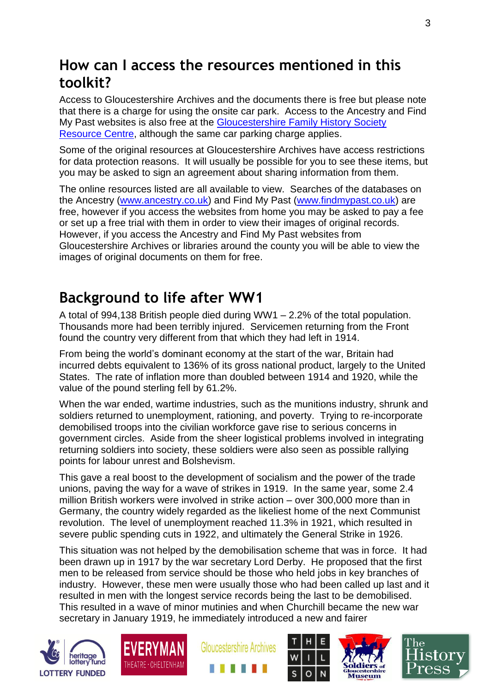## **How can I access the resources mentioned in this toolkit?**

Access to Gloucestershire Archives and the documents there is free but please note that there is a charge for using the onsite car park. Access to the Ancestry and Find My Past websites is also free at the [Gloucestershire Family History Society](http://gfhs.org.uk/the-family-history-centre/)  [Resource Centre,](http://gfhs.org.uk/the-family-history-centre/) although the same car parking charge applies.

Some of the original resources at Gloucestershire Archives have access restrictions for data protection reasons. It will usually be possible for you to see these items, but you may be asked to sign an agreement about sharing information from them.

The online resources listed are all available to view. Searches of the databases on the Ancestry [\(www.ancestry.co.uk\)](http://www.ancestry.co.uk/) and Find My Past [\(www.findmypast.co.uk\)](http://www.findmypast.co.uk/) are free, however if you access the websites from home you may be asked to pay a fee or set up a free trial with them in order to view their images of original records. However, if you access the Ancestry and Find My Past websites from Gloucestershire Archives or libraries around the county you will be able to view the images of original documents on them for free.

## **Background to life after WW1**

A total of 994,138 British people died during WW1 – 2.2% of the total population. Thousands more had been terribly injured. Servicemen returning from the Front found the country very different from that which they had left in 1914.

From being the world's dominant economy at the start of the war, Britain had incurred debts equivalent to 136% of its gross national product, largely to the United States. The rate of inflation more than doubled between 1914 and 1920, while the value of the pound sterling fell by 61.2%.

When the war ended, wartime industries, such as the munitions industry, shrunk and soldiers returned to unemployment, rationing, and poverty. Trying to re-incorporate demobilised troops into the civilian workforce gave rise to serious concerns in government circles. Aside from the sheer logistical problems involved in integrating returning soldiers into society, these soldiers were also seen as possible rallying points for labour unrest and Bolshevism.

This gave a real boost to the development of socialism and the power of the trade unions, paving the way for a wave of strikes in 1919. In the same year, some 2.4 million British workers were involved in strike action – over 300,000 more than in Germany, the country widely regarded as the likeliest home of the next Communist revolution. The level of unemployment reached 11.3% in 1921, which resulted in severe public spending cuts in 1922, and ultimately the General Strike in 1926.

This situation was not helped by the demobilisation scheme that was in force. It had been drawn up in 1917 by the war secretary Lord Derby. He proposed that the first men to be released from service should be those who held jobs in key branches of industry. However, these men were usually those who had been called up last and it resulted in men with the longest service records being the last to be demobilised. This resulted in a wave of minor mutinies and when Churchill became the new war secretary in January 1919, he immediately introduced a new and fairer











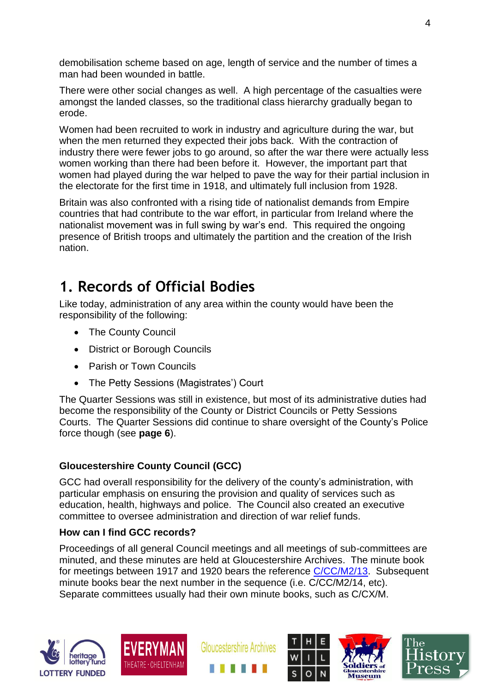demobilisation scheme based on age, length of service and the number of times a man had been wounded in battle.

There were other social changes as well. A high percentage of the casualties were amongst the landed classes, so the traditional class hierarchy gradually began to erode.

Women had been recruited to work in industry and agriculture during the war, but when the men returned they expected their jobs back. With the contraction of industry there were fewer jobs to go around, so after the war there were actually less women working than there had been before it. However, the important part that women had played during the war helped to pave the way for their partial inclusion in the electorate for the first time in 1918, and ultimately full inclusion from 1928.

Britain was also confronted with a rising tide of nationalist demands from Empire countries that had contribute to the war effort, in particular from Ireland where the nationalist movement was in full swing by war's end. This required the ongoing presence of British troops and ultimately the partition and the creation of the Irish nation.

## **1. Records of Official Bodies**

Like today, administration of any area within the county would have been the responsibility of the following:

- The County Council
- District or Borough Councils
- Parish or Town Councils
- The Petty Sessions (Magistrates') Court

The Quarter Sessions was still in existence, but most of its administrative duties had become the responsibility of the County or District Councils or Petty Sessions Courts. The Quarter Sessions did continue to share oversight of the County's Police force though (see **page 6**).

### **Gloucestershire County Council (GCC)**

GCC had overall responsibility for the delivery of the county's administration, with particular emphasis on ensuring the provision and quality of services such as education, health, highways and police. The Council also created an executive committee to oversee administration and direction of war relief funds.

### **How can I find GCC records?**

Proceedings of all general Council meetings and all meetings of sub-committees are minuted, and these minutes are held at Gloucestershire Archives. The minute book for meetings between 1917 and 1920 bears the reference [C/CC/M2/13.](http://ww3.gloucestershire.gov.uk/DServe/dserve.exe?dsqIni=DServeA.ini&dsqApp=Archive&dsqCmd=Show.tcl&dsqDb=Catalog&dsqPos=0&dsqSearch=%28AltRefNo%3D%27C%2FCC%2FM2%2F13%27%29) Subsequent minute books bear the next number in the sequence (i.e. C/CC/M2/14, etc). Separate committees usually had their own minute books, such as C/CX/M.











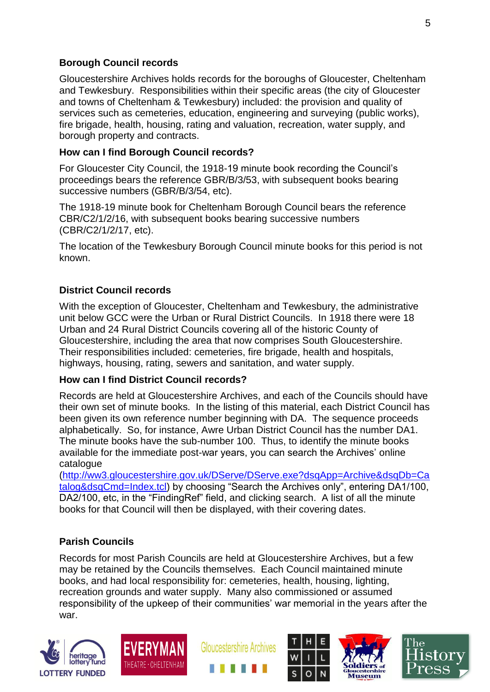#### **Borough Council records**

Gloucestershire Archives holds records for the boroughs of Gloucester, Cheltenham and Tewkesbury. Responsibilities within their specific areas (the city of Gloucester and towns of Cheltenham & Tewkesbury) included: the provision and quality of services such as cemeteries, education, engineering and surveying (public works), fire brigade, health, housing, rating and valuation, recreation, water supply, and borough property and contracts.

#### **How can I find Borough Council records?**

For Gloucester City Council, the 1918-19 minute book recording the Council's proceedings bears the reference GBR/B/3/53, with subsequent books bearing successive numbers (GBR/B/3/54, etc).

The 1918-19 minute book for Cheltenham Borough Council bears the reference CBR/C2/1/2/16, with subsequent books bearing successive numbers (CBR/C2/1/2/17, etc).

The location of the Tewkesbury Borough Council minute books for this period is not known.

#### **District Council records**

With the exception of Gloucester, Cheltenham and Tewkesbury, the administrative unit below GCC were the Urban or Rural District Councils. In 1918 there were 18 Urban and 24 Rural District Councils covering all of the historic County of Gloucestershire, including the area that now comprises South Gloucestershire. Their responsibilities included: cemeteries, fire brigade, health and hospitals, highways, housing, rating, sewers and sanitation, and water supply.

#### **How can I find District Council records?**

Records are held at Gloucestershire Archives, and each of the Councils should have their own set of minute books. In the listing of this material, each District Council has been given its own reference number beginning with DA. The sequence proceeds alphabetically. So, for instance, Awre Urban District Council has the number DA1. The minute books have the sub-number 100. Thus, to identify the minute books available for the immediate post-war years, you can search the Archives' online catalogue

[\(http://ww3.gloucestershire.gov.uk/DServe/DServe.exe?dsqApp=Archive&dsqDb=Ca](http://ww3.gloucestershire.gov.uk/DServe/DServe.exe?dsqApp=Archive&dsqDb=Catalog&dsqCmd=Index.tcl) [talog&dsqCmd=Index.tcl\)](http://ww3.gloucestershire.gov.uk/DServe/DServe.exe?dsqApp=Archive&dsqDb=Catalog&dsqCmd=Index.tcl) by choosing "Search the Archives only", entering DA1/100, DA2/100, etc, in the "FindingRef" field, and clicking search. A list of all the minute books for that Council will then be displayed, with their covering dates.

### **Parish Councils**

Records for most Parish Councils are held at Gloucestershire Archives, but a few may be retained by the Councils themselves. Each Council maintained minute books, and had local responsibility for: cemeteries, health, housing, lighting, recreation grounds and water supply. Many also commissioned or assumed responsibility of the upkeep of their communities' war memorial in the years after the war.











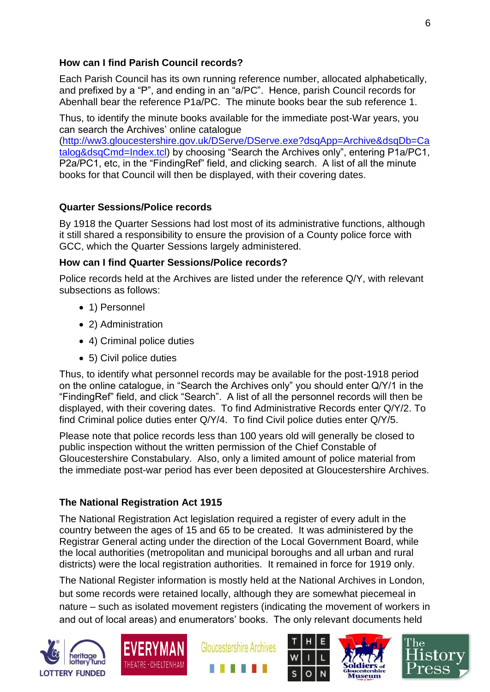#### **How can I find Parish Council records?**

Each Parish Council has its own running reference number, allocated alphabetically, and prefixed by a "P", and ending in an "a/PC". Hence, parish Council records for Abenhall bear the reference P1a/PC. The minute books bear the sub reference 1.

Thus, to identify the minute books available for the immediate post-War years, you can search the Archives' online catalogue

[\(http://ww3.gloucestershire.gov.uk/DServe/DServe.exe?dsqApp=Archive&dsqDb=Ca](http://ww3.gloucestershire.gov.uk/DServe/DServe.exe?dsqApp=Archive&dsqDb=Catalog&dsqCmd=Index.tcl) [talog&dsqCmd=Index.tcl\)](http://ww3.gloucestershire.gov.uk/DServe/DServe.exe?dsqApp=Archive&dsqDb=Catalog&dsqCmd=Index.tcl) by choosing "Search the Archives only", entering P1a/PC1, P2a/PC1, etc, in the "FindingRef" field, and clicking search. A list of all the minute books for that Council will then be displayed, with their covering dates.

### **Quarter Sessions/Police records**

By 1918 the Quarter Sessions had lost most of its administrative functions, although it still shared a responsibility to ensure the provision of a County police force with GCC, which the Quarter Sessions largely administered.

### **How can I find Quarter Sessions/Police records?**

Police records held at the Archives are listed under the reference Q/Y, with relevant subsections as follows:

- 1) Personnel
- 2) Administration
- 4) Criminal police duties
- 5) Civil police duties

Thus, to identify what personnel records may be available for the post-1918 period on the online catalogue, in "Search the Archives only" you should enter Q/Y/1 in the "FindingRef" field, and click "Search". A list of all the personnel records will then be displayed, with their covering dates. To find Administrative Records enter Q/Y/2. To find Criminal police duties enter Q/Y/4. To find Civil police duties enter Q/Y/5.

Please note that police records less than 100 years old will generally be closed to public inspection without the written permission of the Chief Constable of Gloucestershire Constabulary. Also, only a limited amount of police material from the immediate post-war period has ever been deposited at Gloucestershire Archives.

### **The National Registration Act 1915**

The National Registration Act legislation required a register of every adult in the country between the ages of 15 and 65 to be created. It was administered by the Registrar General acting under the direction of the Local Government Board, while the local authorities (metropolitan and municipal boroughs and all urban and rural districts) were the local registration authorities. It remained in force for 1919 only.

The National Register information is mostly held at the National Archives in London, but some records were retained locally, although they are somewhat piecemeal in nature – such as isolated movement registers (indicating the movement of workers in and out of local areas) and enumerators' books. The only relevant documents held











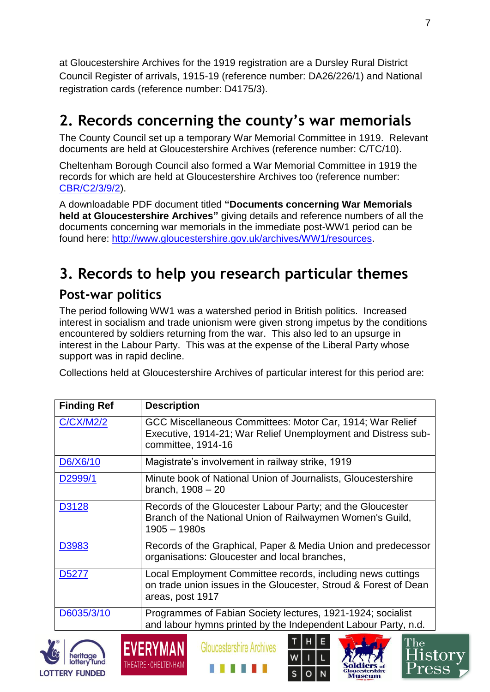at Gloucestershire Archives for the 1919 registration are a Dursley Rural District Council Register of arrivals, 1915-19 (reference number: DA26/226/1) and National registration cards (reference number: D4175/3).

# **2. Records concerning the county's war memorials**

The County Council set up a temporary War Memorial Committee in 1919. Relevant documents are held at Gloucestershire Archives (reference number: C/TC/10).

Cheltenham Borough Council also formed a War Memorial Committee in 1919 the records for which are held at Gloucestershire Archives too (reference number: [CBR/C2/3/9/2\)](http://ww3.gloucestershire.gov.uk/DServe/dserve.exe?dsqIni=DServeA.ini&dsqApp=Archive&dsqCmd=Show.tcl&dsqDb=Catalog&dsqPos=1&dsqSearch=%28AltRefNo%3D%27cbr%2Fc2%2F3%2F9%27%29).

A downloadable PDF document titled **"Documents concerning War Memorials held at Gloucestershire Archives"** giving details and reference numbers of all the documents concerning war memorials in the immediate post-WW1 period can be found here: [http://www.gloucestershire.gov.uk/archives/WW1/resources.](http://www.gloucestershire.gov.uk/archives/WW1/resources)

# **3. Records to help you research particular themes**

## **Post-war politics**

The period following WW1 was a watershed period in British politics. Increased interest in socialism and trade unionism were given strong impetus by the conditions encountered by soldiers returning from the war. This also led to an upsurge in interest in the Labour Party. This was at the expense of the Liberal Party whose support was in rapid decline.

Collections held at Gloucestershire Archives of particular interest for this period are:

| <b>Finding Ref</b> | <b>Description</b>                                                                                                                                  |
|--------------------|-----------------------------------------------------------------------------------------------------------------------------------------------------|
| <b>C/CX/M2/2</b>   | GCC Miscellaneous Committees: Motor Car, 1914; War Relief<br>Executive, 1914-21; War Relief Unemployment and Distress sub-<br>committee, 1914-16    |
| D6/X6/10           | Magistrate's involvement in railway strike, 1919                                                                                                    |
| D2999/1            | Minute book of National Union of Journalists, Gloucestershire<br>branch, 1908 - 20                                                                  |
| D3128              | Records of the Gloucester Labour Party; and the Gloucester<br>Branch of the National Union of Railwaymen Women's Guild,<br>$1905 - 1980s$           |
| D3983              | Records of the Graphical, Paper & Media Union and predecessor<br>organisations: Gloucester and local branches,                                      |
| D <sub>5277</sub>  | Local Employment Committee records, including news cuttings<br>on trade union issues in the Gloucester, Stroud & Forest of Dean<br>areas, post 1917 |
| D6035/3/10         | Programmes of Fabian Society lectures, 1921-1924; socialist<br>and labour hymns printed by the Independent Labour Party, n.d.                       |
|                    | Gloucestershire Archives                                                                                                                            |



CVCKYMAN THEATRE · CHELTENHAM

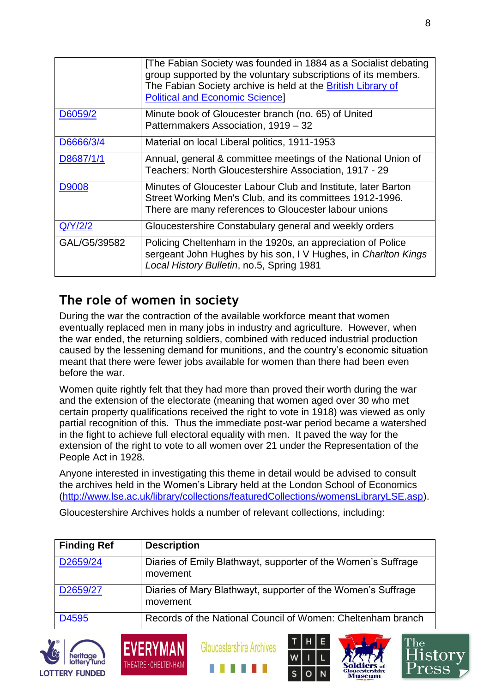|              | [The Fabian Society was founded in 1884 as a Socialist debating<br>group supported by the voluntary subscriptions of its members.<br>The Fabian Society archive is held at the British Library of<br><b>Political and Economic Science]</b> |
|--------------|---------------------------------------------------------------------------------------------------------------------------------------------------------------------------------------------------------------------------------------------|
| D6059/2      | Minute book of Gloucester branch (no. 65) of United<br>Patternmakers Association, 1919 - 32                                                                                                                                                 |
| D6666/3/4    | Material on local Liberal politics, 1911-1953                                                                                                                                                                                               |
| D8687/1/1    | Annual, general & committee meetings of the National Union of<br>Teachers: North Gloucestershire Association, 1917 - 29                                                                                                                     |
| D9008        | Minutes of Gloucester Labour Club and Institute, later Barton<br>Street Working Men's Club, and its committees 1912-1996.<br>There are many references to Gloucester labour unions                                                          |
| Q/Y/2/2      | Gloucestershire Constabulary general and weekly orders                                                                                                                                                                                      |
| GAL/G5/39582 | Policing Cheltenham in the 1920s, an appreciation of Police<br>sergeant John Hughes by his son, IV Hughes, in Charlton Kings<br>Local History Bulletin, no.5, Spring 1981                                                                   |

## **The role of women in society**

**EVERYMA** 

THEATRE · CHELTENHAI

During the war the contraction of the available workforce meant that women eventually replaced men in many jobs in industry and agriculture. However, when the war ended, the returning soldiers, combined with reduced industrial production caused by the lessening demand for munitions, and the country's economic situation meant that there were fewer jobs available for women than there had been even before the war.

Women quite rightly felt that they had more than proved their worth during the war and the extension of the electorate (meaning that women aged over 30 who met certain property qualifications received the right to vote in 1918) was viewed as only partial recognition of this. Thus the immediate post-war period became a watershed in the fight to achieve full electoral equality with men. It paved the way for the extension of the right to vote to all women over 21 under the Representation of the People Act in 1928.

Anyone interested in investigating this theme in detail would be advised to consult the archives held in the Women's Library held at the London School of Economics [\(http://www.lse.ac.uk/library/collections/featuredCollections/womensLibraryLSE.asp\)](http://www.lse.ac.uk/library/collections/featuredCollections/womensLibraryLSE.asp).

Gloucestershire Archives holds a number of relevant collections, including:

| <b>Finding Ref</b> | <b>Description</b>                                                        |
|--------------------|---------------------------------------------------------------------------|
| D2659/24           | Diaries of Emily Blathwayt, supporter of the Women's Suffrage<br>movement |
| D2659/27           | Diaries of Mary Blathwayt, supporter of the Women's Suffrage<br>movement  |
| D4595              | Records of the National Council of Women: Cheltenham branch               |









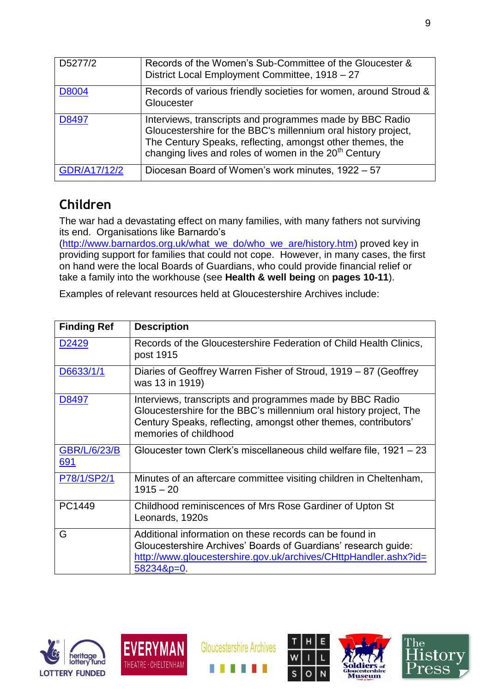| D5277/2      | Records of the Women's Sub-Committee of the Gloucester &<br>District Local Employment Committee, 1918 - 27                                                                                                                                                   |
|--------------|--------------------------------------------------------------------------------------------------------------------------------------------------------------------------------------------------------------------------------------------------------------|
| D8004        | Records of various friendly societies for women, around Stroud &<br>Gloucester                                                                                                                                                                               |
| D8497        | Interviews, transcripts and programmes made by BBC Radio<br>Gloucestershire for the BBC's millennium oral history project,<br>The Century Speaks, reflecting, amongst other themes, the<br>changing lives and roles of women in the 20 <sup>th</sup> Century |
| GDR/A17/12/2 | Diocesan Board of Women's work minutes, 1922 - 57                                                                                                                                                                                                            |

## **Children**

The war had a devastating effect on many families, with many fathers not surviving its end. Organisations like Barnardo's

[\(http://www.barnardos.org.uk/what\\_we\\_do/who\\_we\\_are/history.htm\)](http://www.barnardos.org.uk/what_we_do/who_we_are/history.htm) proved key in providing support for families that could not cope. However, in many cases, the first on hand were the local Boards of Guardians, who could provide financial relief or take a family into the workhouse (see **Health & well being** on **pages 10-11**).

| <b>Finding Ref</b>                | <b>Description</b>                                                                                                                                                                                                         |
|-----------------------------------|----------------------------------------------------------------------------------------------------------------------------------------------------------------------------------------------------------------------------|
| D <sub>2429</sub>                 | Records of the Gloucestershire Federation of Child Health Clinics,<br>post 1915                                                                                                                                            |
| D6633/1/1                         | Diaries of Geoffrey Warren Fisher of Stroud, 1919 – 87 (Geoffrey<br>was 13 in 1919)                                                                                                                                        |
| D8497                             | Interviews, transcripts and programmes made by BBC Radio<br>Gloucestershire for the BBC's millennium oral history project, The<br>Century Speaks, reflecting, amongst other themes, contributors'<br>memories of childhood |
| <b>GBR/L/6/23/B</b><br><u>691</u> | Gloucester town Clerk's miscellaneous child welfare file, 1921 – 23                                                                                                                                                        |
| P78/1/SP2/1                       | Minutes of an aftercare committee visiting children in Cheltenham,<br>$1915 - 20$                                                                                                                                          |
| PC1449                            | Childhood reminiscences of Mrs Rose Gardiner of Upton St<br>Leonards, 1920s                                                                                                                                                |
| G                                 | Additional information on these records can be found in<br>Gloucestershire Archives' Boards of Guardians' research guide:<br>http://www.gloucestershire.gov.uk/archives/CHttpHandler.ashx?id=<br>$582348p=0$               |

Examples of relevant resources held at Gloucestershire Archives include:





**Gloucestershire Archives** 





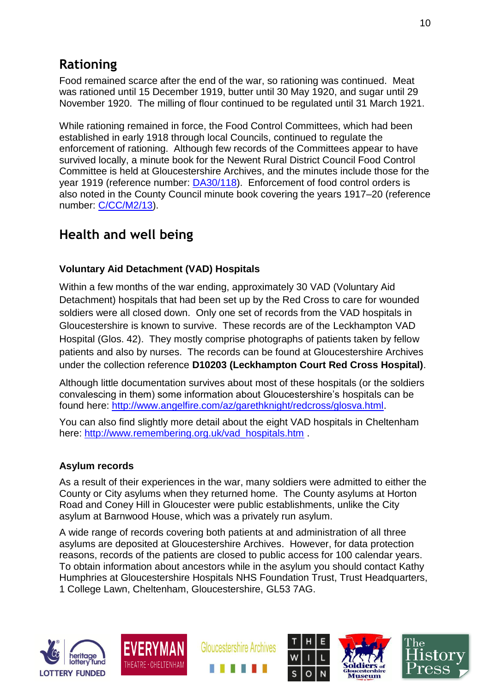## **Rationing**

Food remained scarce after the end of the war, so rationing was continued. Meat was rationed until 15 December 1919, butter until 30 May 1920, and sugar until 29 November 1920. The milling of flour continued to be regulated until 31 March 1921.

While rationing remained in force, the Food Control Committees, which had been established in early 1918 through local Councils, continued to regulate the enforcement of rationing. Although few records of the Committees appear to have survived locally, a minute book for the Newent Rural District Council Food Control Committee is held at Gloucestershire Archives, and the minutes include those for the year 1919 (reference number:  $D A 30/118$ ). Enforcement of food control orders is also noted in the County Council minute book covering the years 1917–20 (reference number: [C/CC/M2/13\)](http://ww3.gloucestershire.gov.uk/DServe/dserve.exe?dsqIni=DServeA.ini&dsqApp=Archive&dsqCmd=Show.tcl&dsqDb=Catalog&dsqPos=0&dsqSearch=%28AltRefNo%3D%27c%2Fcc%2Fm2%2F13%27%29).

## **Health and well being**

### **Voluntary Aid Detachment (VAD) Hospitals**

Within a few months of the war ending, approximately 30 VAD (Voluntary Aid Detachment) hospitals that had been set up by the Red Cross to care for wounded soldiers were all closed down. Only one set of records from the VAD hospitals in Gloucestershire is known to survive. These records are of the Leckhampton VAD Hospital (Glos. 42). They mostly comprise photographs of patients taken by fellow patients and also by nurses. The records can be found at Gloucestershire Archives under the collection reference **D10203 (Leckhampton Court Red Cross Hospital)**.

Although little documentation survives about most of these hospitals (or the soldiers convalescing in them) some information about Gloucestershire's hospitals can be found here: [http://www.angelfire.com/az/garethknight/redcross/glosva.html.](http://www.angelfire.com/az/garethknight/redcross/glosva.html)

You can also find slightly more detail about the eight VAD hospitals in Cheltenham here: [http://www.remembering.org.uk/vad\\_hospitals.htm](http://www.remembering.org.uk/vad_hospitals.htm) .

### **Asylum records**

As a result of their experiences in the war, many soldiers were admitted to either the County or City asylums when they returned home. The County asylums at Horton Road and Coney Hill in Gloucester were public establishments, unlike the City asylum at Barnwood House, which was a privately run asylum.

A wide range of records covering both patients at and administration of all three asylums are deposited at Gloucestershire Archives. However, for data protection reasons, records of the patients are closed to public access for 100 calendar years. To obtain information about ancestors while in the asylum you should contact Kathy Humphries at Gloucestershire Hospitals NHS Foundation Trust, Trust Headquarters, 1 College Lawn, Cheltenham, Gloucestershire, GL53 7AG.











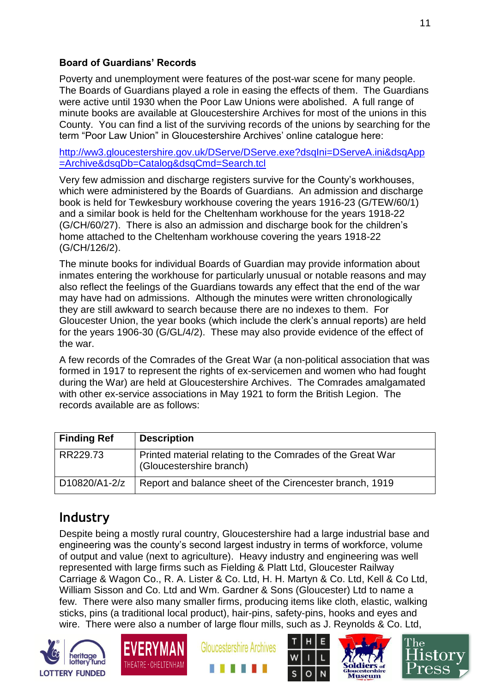### **Board of Guardians' Records**

Poverty and unemployment were features of the post-war scene for many people. The Boards of Guardians played a role in easing the effects of them. The Guardians were active until 1930 when the Poor Law Unions were abolished. A full range of minute books are available at Gloucestershire Archives for most of the unions in this County. You can find a list of the surviving records of the unions by searching for the term "Poor Law Union" in Gloucestershire Archives' online catalogue here:

[http://ww3.gloucestershire.gov.uk/DServe/DServe.exe?dsqIni=DServeA.ini&dsqApp](http://ww3.gloucestershire.gov.uk/DServe/DServe.exe?dsqIni=DServeA.ini&dsqApp=Archive&dsqDb=Catalog&dsqCmd=Search.tcl) [=Archive&dsqDb=Catalog&dsqCmd=Search.tcl](http://ww3.gloucestershire.gov.uk/DServe/DServe.exe?dsqIni=DServeA.ini&dsqApp=Archive&dsqDb=Catalog&dsqCmd=Search.tcl)

Very few admission and discharge registers survive for the County's workhouses, which were administered by the Boards of Guardians. An admission and discharge book is held for Tewkesbury workhouse covering the years 1916-23 (G/TEW/60/1) and a similar book is held for the Cheltenham workhouse for the years 1918-22 (G/CH/60/27). There is also an admission and discharge book for the children's home attached to the Cheltenham workhouse covering the years 1918-22 (G/CH/126/2).

The minute books for individual Boards of Guardian may provide information about inmates entering the workhouse for particularly unusual or notable reasons and may also reflect the feelings of the Guardians towards any effect that the end of the war may have had on admissions. Although the minutes were written chronologically they are still awkward to search because there are no indexes to them. For Gloucester Union, the year books (which include the clerk's annual reports) are held for the years 1906-30 (G/GL/4/2). These may also provide evidence of the effect of the war.

A few records of the Comrades of the Great War (a non-political association that was formed in 1917 to represent the rights of ex-servicemen and women who had fought during the War) are held at Gloucestershire Archives. The Comrades amalgamated with other ex-service associations in May 1921 to form the British Legion. The records available are as follows:

| <b>Finding Ref</b> | <b>Description</b>                                                                     |
|--------------------|----------------------------------------------------------------------------------------|
| RR229.73           | Printed material relating to the Comrades of the Great War<br>(Gloucestershire branch) |
| D10820/A1-2/z      | Report and balance sheet of the Cirencester branch, 1919                               |

### **Industry**

Despite being a mostly rural country, Gloucestershire had a large industrial base and engineering was the county's second largest industry in terms of workforce, volume of output and value (next to agriculture). Heavy industry and engineering was well represented with large firms such as Fielding & Platt Ltd, Gloucester Railway Carriage & Wagon Co., R. A. Lister & Co. Ltd, H. H. Martyn & Co. Ltd, Kell & Co Ltd, William Sisson and Co. Ltd and Wm. Gardner & Sons (Gloucester) Ltd to name a few. There were also many smaller firms, producing items like cloth, elastic, walking sticks, pins (a traditional local product), hair-pins, safety-pins, hooks and eyes and wire. There were also a number of large flour mills, such as J. Reynolds & Co. Ltd,











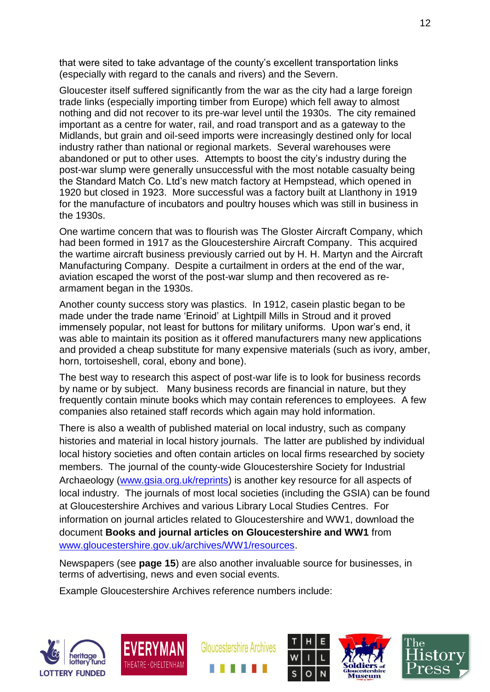that were sited to take advantage of the county's excellent transportation links (especially with regard to the canals and rivers) and the Severn.

Gloucester itself suffered significantly from the war as the city had a large foreign trade links (especially importing timber from Europe) which fell away to almost nothing and did not recover to its pre-war level until the 1930s. The city remained important as a centre for water, rail, and road transport and as a gateway to the Midlands, but grain and oil-seed imports were increasingly destined only for local industry rather than national or regional markets. Several warehouses were abandoned or put to other uses. Attempts to boost the city's industry during the post-war slump were generally unsuccessful with the most notable casualty being the Standard Match Co. Ltd's new match factory at Hempstead, which opened in 1920 but closed in 1923. More successful was a factory built at Llanthony in 1919 for the manufacture of incubators and poultry houses which was still in business in the 1930s.

One wartime concern that was to flourish was The Gloster Aircraft Company, which had been formed in 1917 as the Gloucestershire Aircraft Company. This acquired the wartime aircraft business previously carried out by H. H. Martyn and the Aircraft Manufacturing Company. Despite a curtailment in orders at the end of the war, aviation escaped the worst of the post-war slump and then recovered as rearmament began in the 1930s.

Another county success story was plastics. In 1912, casein plastic began to be made under the trade name 'Erinoid' at Lightpill Mills in Stroud and it proved immensely popular, not least for buttons for military uniforms. Upon war's end, it was able to maintain its position as it offered manufacturers many new applications and provided a cheap substitute for many expensive materials (such as ivory, amber, horn, tortoiseshell, coral, ebony and bone).

The best way to research this aspect of post-war life is to look for business records by name or by subject. Many business records are financial in nature, but they frequently contain minute books which may contain references to employees. A few companies also retained staff records which again may hold information.

There is also a wealth of published material on local industry, such as company histories and material in local history journals. The latter are published by individual local history societies and often contain articles on local firms researched by society members. The journal of the county-wide Gloucestershire Society for Industrial Archaeology [\(www.gsia.org.uk/reprints\)](http://www.gsia.org.uk/reprints) is another key resource for all aspects of local industry. The journals of most local societies (including the GSIA) can be found at Gloucestershire Archives and various Library Local Studies Centres. For information on journal articles related to Gloucestershire and WW1, download the document **Books and journal articles on Gloucestershire and WW1** from [www.gloucestershire.gov.uk/archives/WW1/resources.](http://www.gloucestershire.gov.uk/archives/WW1/resources)

Newspapers (see **page 15**) are also another invaluable source for businesses, in terms of advertising, news and even social events.

Example Gloucestershire Archives reference numbers include:











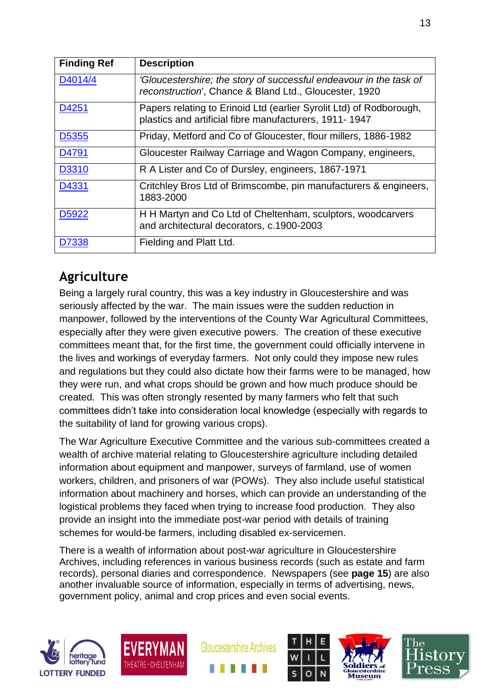| <b>Finding Ref</b> | <b>Description</b>                                                                                                            |
|--------------------|-------------------------------------------------------------------------------------------------------------------------------|
| D4014/4            | 'Gloucestershire; the story of successful endeavour in the task of<br>reconstruction', Chance & Bland Ltd., Gloucester, 1920  |
| D4251              | Papers relating to Erinoid Ltd (earlier Syrolit Ltd) of Rodborough,<br>plastics and artificial fibre manufacturers, 1911-1947 |
| D <sub>5355</sub>  | Priday, Metford and Co of Gloucester, flour millers, 1886-1982                                                                |
| D4791              | Gloucester Railway Carriage and Wagon Company, engineers,                                                                     |
| D3310              | R A Lister and Co of Dursley, engineers, 1867-1971                                                                            |
| D4331              | Critchley Bros Ltd of Brimscombe, pin manufacturers & engineers,<br>1883-2000                                                 |
| D5922              | H H Martyn and Co Ltd of Cheltenham, sculptors, woodcarvers<br>and architectural decorators, c.1900-2003                      |
| D7338              | Fielding and Platt Ltd.                                                                                                       |

## **Agriculture**

Being a largely rural country, this was a key industry in Gloucestershire and was seriously affected by the war. The main issues were the sudden reduction in manpower, followed by the interventions of the County War Agricultural Committees, especially after they were given executive powers. The creation of these executive committees meant that, for the first time, the government could officially intervene in the lives and workings of everyday farmers. Not only could they impose new rules and regulations but they could also dictate how their farms were to be managed, how they were run, and what crops should be grown and how much produce should be created. This was often strongly resented by many farmers who felt that such committees didn't take into consideration local knowledge (especially with regards to the suitability of land for growing various crops).

The War Agriculture Executive Committee and the various sub-committees created a wealth of archive material relating to Gloucestershire agriculture including detailed information about equipment and manpower, surveys of farmland, use of women workers, children, and prisoners of war (POWs). They also include useful statistical information about machinery and horses, which can provide an understanding of the logistical problems they faced when trying to increase food production. They also provide an insight into the immediate post-war period with details of training schemes for would-be farmers, including disabled ex-servicemen.

There is a wealth of information about post-war agriculture in Gloucestershire Archives, including references in various business records (such as estate and farm records), personal diaries and correspondence. Newspapers (see **page 15**) are also another invaluable source of information, especially in terms of advertising, news, government policy, animal and crop prices and even social events.











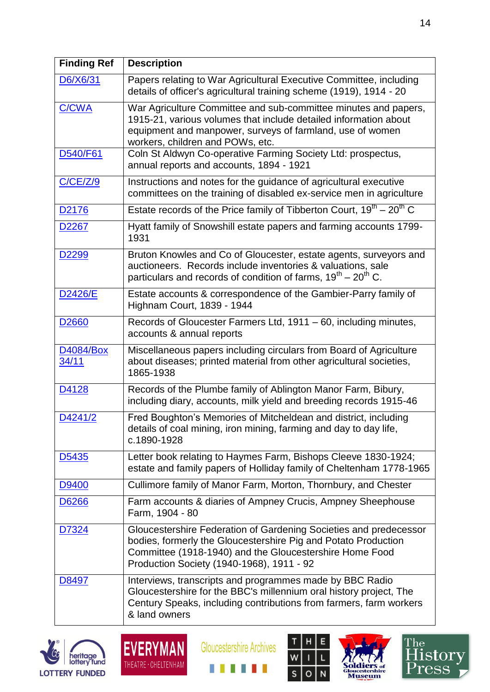| <b>Finding Ref</b>        | <b>Description</b>                                                                                                                                                                                                                          |
|---------------------------|---------------------------------------------------------------------------------------------------------------------------------------------------------------------------------------------------------------------------------------------|
| D6/X6/31                  | Papers relating to War Agricultural Executive Committee, including<br>details of officer's agricultural training scheme (1919), 1914 - 20                                                                                                   |
| C/CWA                     | War Agriculture Committee and sub-committee minutes and papers,<br>1915-21, various volumes that include detailed information about<br>equipment and manpower, surveys of farmland, use of women<br>workers, children and POWs, etc.        |
| D540/F61                  | Coln St Aldwyn Co-operative Farming Society Ltd: prospectus,<br>annual reports and accounts, 1894 - 1921                                                                                                                                    |
| C/CE/Z/9                  | Instructions and notes for the guidance of agricultural executive<br>committees on the training of disabled ex-service men in agriculture                                                                                                   |
| D <sub>2176</sub>         | Estate records of the Price family of Tibberton Court, $19^{th} - 20^{th}$ C                                                                                                                                                                |
| D <sub>2267</sub>         | Hyatt family of Snowshill estate papers and farming accounts 1799-<br>1931                                                                                                                                                                  |
| D <sub>2299</sub>         | Bruton Knowles and Co of Gloucester, estate agents, surveyors and<br>auctioneers. Records include inventories & valuations, sale<br>particulars and records of condition of farms, $19^{th} - 20^{th}$ C.                                   |
| D2426/E                   | Estate accounts & correspondence of the Gambier-Parry family of<br>Highnam Court, 1839 - 1944                                                                                                                                               |
| D <sub>2660</sub>         | Records of Gloucester Farmers Ltd, 1911 - 60, including minutes,<br>accounts & annual reports                                                                                                                                               |
| <b>D4084/Box</b><br>34/11 | Miscellaneous papers including circulars from Board of Agriculture<br>about diseases; printed material from other agricultural societies,<br>1865-1938                                                                                      |
| D4128                     | Records of the Plumbe family of Ablington Manor Farm, Bibury,<br>including diary, accounts, milk yield and breeding records 1915-46                                                                                                         |
| D4241/2                   | Fred Boughton's Memories of Mitcheldean and district, including<br>details of coal mining, iron mining, farming and day to day life,<br>c.1890-1928                                                                                         |
| D <sub>5435</sub>         | Letter book relating to Haymes Farm, Bishops Cleeve 1830-1924;<br>estate and family papers of Holliday family of Cheltenham 1778-1965                                                                                                       |
| D9400                     | Cullimore family of Manor Farm, Morton, Thornbury, and Chester                                                                                                                                                                              |
| D6266                     | Farm accounts & diaries of Ampney Crucis, Ampney Sheephouse<br>Farm, 1904 - 80                                                                                                                                                              |
| D7324                     | Gloucestershire Federation of Gardening Societies and predecessor<br>bodies, formerly the Gloucestershire Pig and Potato Production<br>Committee (1918-1940) and the Gloucestershire Home Food<br>Production Society (1940-1968), 1911 - 92 |
| D8497                     | Interviews, transcripts and programmes made by BBC Radio<br>Gloucestershire for the BBC's millennium oral history project, The<br>Century Speaks, including contributions from farmers, farm workers<br>& land owners                       |











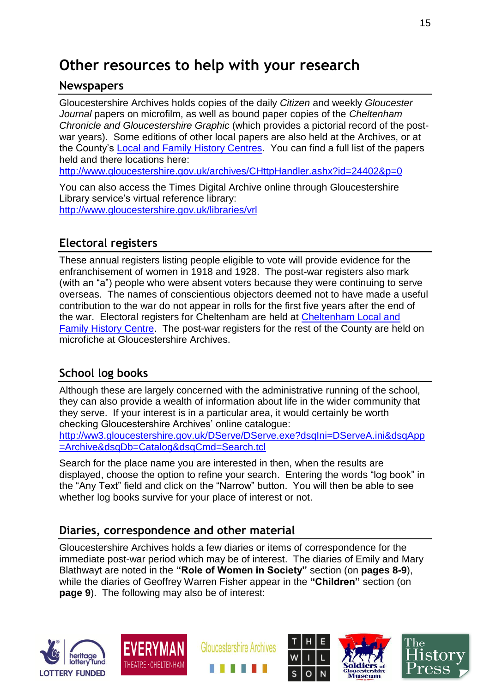# **Other resources to help with your research**

### **Newspapers**

Gloucestershire Archives holds copies of the daily *Citizen* and weekly *Gloucester Journal* papers on microfilm, as well as bound paper copies of the *Cheltenham Chronicle and Gloucestershire Graphic* (which provides a pictorial record of the postwar years). Some editions of other local papers are also held at the Archives, or at the County's [Local and Family History Centres.](http://www.gloucestershire.gov.uk/archives/article/107397/Researching-the-history-of-your-area) You can find a full list of the papers held and there locations here:

<http://www.gloucestershire.gov.uk/archives/CHttpHandler.ashx?id=24402&p=0>

You can also access the Times Digital Archive online through Gloucestershire Library service's virtual reference library: <http://www.gloucestershire.gov.uk/libraries/vrl>

### **Electoral registers**

These annual registers listing people eligible to vote will provide evidence for the enfranchisement of women in 1918 and 1928. The post-war registers also mark (with an "a") people who were absent voters because they were continuing to serve overseas. The names of conscientious objectors deemed not to have made a useful contribution to the war do not appear in rolls for the first five years after the end of the war. Electoral registers for Cheltenham are held at [Cheltenham Local and](http://www.gloucestershire.gov.uk/archives/article/109250/Cheltenham-Local-and-Family-History-Centre)  [Family History Centre.](http://www.gloucestershire.gov.uk/archives/article/109250/Cheltenham-Local-and-Family-History-Centre) The post-war registers for the rest of the County are held on microfiche at Gloucestershire Archives.

### **School log books**

Although these are largely concerned with the administrative running of the school, they can also provide a wealth of information about life in the wider community that they serve. If your interest is in a particular area, it would certainly be worth checking Gloucestershire Archives' online catalogue:

[http://ww3.gloucestershire.gov.uk/DServe/DServe.exe?dsqIni=DServeA.ini&dsqApp](http://ww3.gloucestershire.gov.uk/DServe/DServe.exe?dsqIni=DServeA.ini&dsqApp=Archive&dsqDb=Catalog&dsqCmd=Search.tcl) [=Archive&dsqDb=Catalog&dsqCmd=Search.tcl](http://ww3.gloucestershire.gov.uk/DServe/DServe.exe?dsqIni=DServeA.ini&dsqApp=Archive&dsqDb=Catalog&dsqCmd=Search.tcl)

Search for the place name you are interested in then, when the results are displayed, choose the option to refine your search. Entering the words "log book" in the "Any Text" field and click on the "Narrow" button. You will then be able to see whether log books survive for your place of interest or not.

### **Diaries, correspondence and other material**

Gloucestershire Archives holds a few diaries or items of correspondence for the immediate post-war period which may be of interest. The diaries of Emily and Mary Blathwayt are noted in the **"Role of Women in Society"** section (on **pages 8-9**), while the diaries of Geoffrey Warren Fisher appear in the **"Children"** section (on **page 9**). The following may also be of interest:











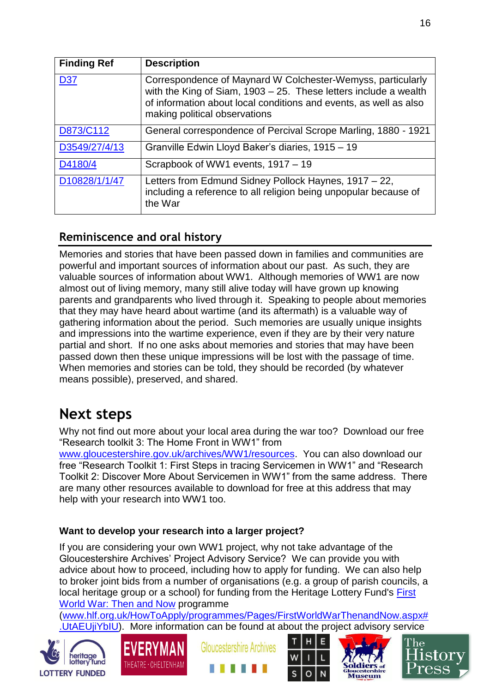| <b>Finding Ref</b> | <b>Description</b>                                                                                                                                                                                                                       |
|--------------------|------------------------------------------------------------------------------------------------------------------------------------------------------------------------------------------------------------------------------------------|
| <b>D37</b>         | Correspondence of Maynard W Colchester-Wemyss, particularly<br>with the King of Siam, $1903 - 25$ . These letters include a wealth<br>of information about local conditions and events, as well as also<br>making political observations |
| D873/C112          | General correspondence of Percival Scrope Marling, 1880 - 1921                                                                                                                                                                           |
| D3549/27/4/13      | Granville Edwin Lloyd Baker's diaries, 1915 - 19                                                                                                                                                                                         |
| D4180/4            | Scrapbook of WW1 events, 1917 - 19                                                                                                                                                                                                       |
| D10828/1/1/47      | Letters from Edmund Sidney Pollock Haynes, 1917 – 22,<br>including a reference to all religion being unpopular because of<br>the War                                                                                                     |

### **Reminiscence and oral history**

Memories and stories that have been passed down in families and communities are powerful and important sources of information about our past. As such, they are valuable sources of information about WW1. Although memories of WW1 are now almost out of living memory, many still alive today will have grown up knowing parents and grandparents who lived through it. Speaking to people about memories that they may have heard about wartime (and its aftermath) is a valuable way of gathering information about the period. Such memories are usually unique insights and impressions into the wartime experience, even if they are by their very nature partial and short. If no one asks about memories and stories that may have been passed down then these unique impressions will be lost with the passage of time. When memories and stories can be told, they should be recorded (by whatever means possible), preserved, and shared.

## **Next steps**

Why not find out more about your local area during the war too? Download our free "Research toolkit 3: The Home Front in WW1" from

[www.gloucestershire.gov.uk/archives/WW1/resources.](http://www.gloucestershire.gov.uk/archives/WW1/resources) You can also download our free "Research Toolkit 1: First Steps in tracing Servicemen in WW1" and "Research Toolkit 2: Discover More About Servicemen in WW1" from the same address. There are many other resources available to download for free at this address that may help with your research into WW1 too.

### **Want to develop your research into a larger project?**

If you are considering your own WW1 project, why not take advantage of the Gloucestershire Archives' Project Advisory Service? We can provide you with advice about how to proceed, including how to apply for funding. We can also help to broker joint bids from a number of organisations (e.g. a group of parish councils, a local heritage group or a school) for funding from the Heritage Lottery Fund's [First](http://www.hlf.org.uk/HowToApply/programmes/Pages/FirstWorldWarThenandNow.aspx)  [World War: Then and Now](http://www.hlf.org.uk/HowToApply/programmes/Pages/FirstWorldWarThenandNow.aspx) programme

[\(www.hlf.org.uk/HowToApply/programmes/Pages/FirstWorldWarThenandNow.aspx#](http://www.hlf.org.uk/HowToApply/programmes/Pages/FirstWorldWarThenandNow.aspx#.UtAEUjiYbIU) [.UtAEUjiYbIU\)](http://www.hlf.org.uk/HowToApply/programmes/Pages/FirstWorldWarThenandNow.aspx#.UtAEUjiYbIU). More information can be found at about the project advisory service